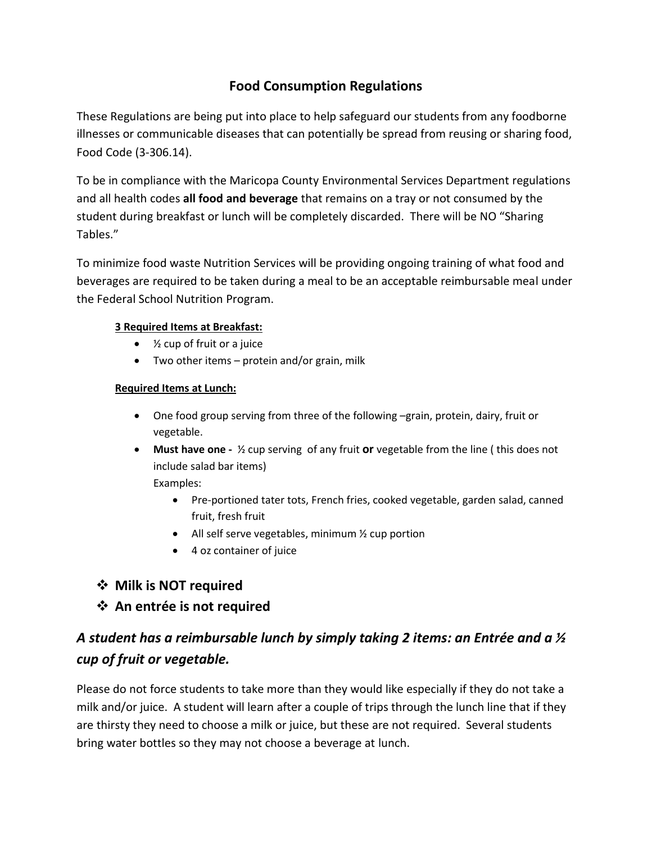## **Food Consumption Regulations**

These Regulations are being put into place to help safeguard our students from any foodborne illnesses or communicable diseases that can potentially be spread from reusing or sharing food, Food Code (3-306.14).

To be in compliance with the Maricopa County Environmental Services Department regulations and all health codes **all food and beverage** that remains on a tray or not consumed by the student during breakfast or lunch will be completely discarded. There will be NO "Sharing Tables."

To minimize food waste Nutrition Services will be providing ongoing training of what food and beverages are required to be taken during a meal to be an acceptable reimbursable meal under the Federal School Nutrition Program.

#### **3 Required Items at Breakfast:**

- ½ cup of fruit or a juice
- Two other items protein and/or grain, milk

#### **Required Items at Lunch:**

- One food group serving from three of the following –grain, protein, dairy, fruit or vegetable.
- **•** Must have one  $\frac{1}{2}$  cup serving of any fruit or vegetable from the line (this does not include salad bar items) Examples:
	- Pre-portioned tater tots, French fries, cooked vegetable, garden salad, canned fruit, fresh fruit
	- All self serve vegetables, minimum ½ cup portion
	- 4 oz container of juice

### **Milk is NOT required**

### **An entrée is not required**

# *A student has a reimbursable lunch by simply taking 2 items: an Entrée and a ½ cup of fruit or vegetable.*

Please do not force students to take more than they would like especially if they do not take a milk and/or juice. A student will learn after a couple of trips through the lunch line that if they are thirsty they need to choose a milk or juice, but these are not required. Several students bring water bottles so they may not choose a beverage at lunch.